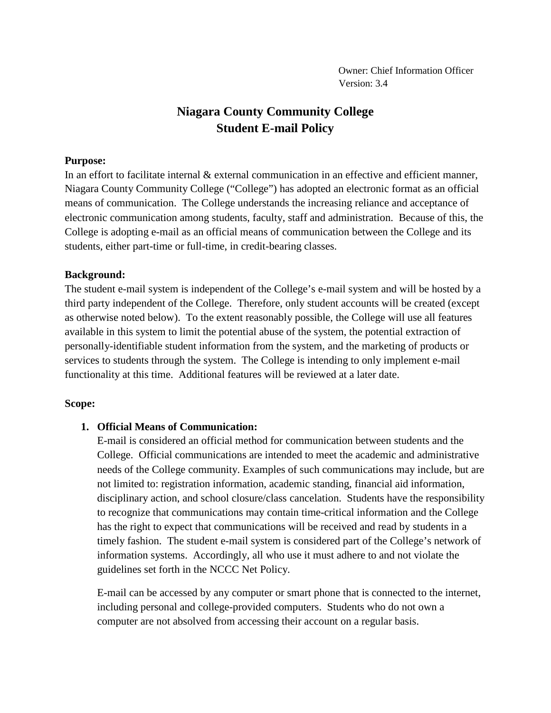# **Niagara County Community College Student E-mail Policy**

#### **Purpose:**

In an effort to facilitate internal & external communication in an effective and efficient manner, Niagara County Community College ("College") has adopted an electronic format as an official means of communication. The College understands the increasing reliance and acceptance of electronic communication among students, faculty, staff and administration. Because of this, the College is adopting e-mail as an official means of communication between the College and its students, either part-time or full-time, in credit-bearing classes.

### **Background:**

The student e-mail system is independent of the College's e-mail system and will be hosted by a third party independent of the College. Therefore, only student accounts will be created (except as otherwise noted below). To the extent reasonably possible, the College will use all features available in this system to limit the potential abuse of the system, the potential extraction of personally-identifiable student information from the system, and the marketing of products or services to students through the system. The College is intending to only implement e-mail functionality at this time. Additional features will be reviewed at a later date.

### **Scope:**

### **1. Official Means of Communication:**

E-mail is considered an official method for communication between students and the College. Official communications are intended to meet the academic and administrative needs of the College community. Examples of such communications may include, but are not limited to: registration information, academic standing, financial aid information, disciplinary action, and school closure/class cancelation. Students have the responsibility to recognize that communications may contain time-critical information and the College has the right to expect that communications will be received and read by students in a timely fashion. The student e-mail system is considered part of the College's network of information systems. Accordingly, all who use it must adhere to and not violate the guidelines set forth in the NCCC Net Policy.

E-mail can be accessed by any computer or smart phone that is connected to the internet, including personal and college-provided computers. Students who do not own a computer are not absolved from accessing their account on a regular basis.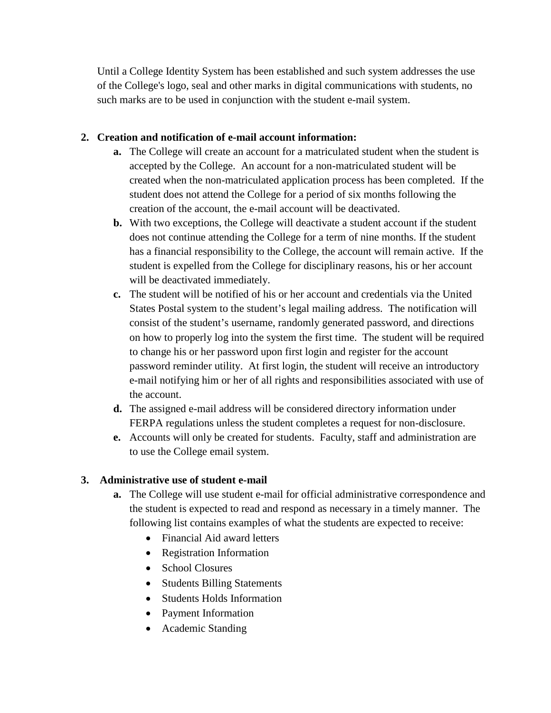Until a College Identity System has been established and such system addresses the use of the College's logo, seal and other marks in digital communications with students, no such marks are to be used in conjunction with the student e-mail system.

## **2. Creation and notification of e-mail account information:**

- **a.** The College will create an account for a matriculated student when the student is accepted by the College. An account for a non-matriculated student will be created when the non-matriculated application process has been completed. If the student does not attend the College for a period of six months following the creation of the account, the e-mail account will be deactivated.
- **b.** With two exceptions, the College will deactivate a student account if the student does not continue attending the College for a term of nine months. If the student has a financial responsibility to the College, the account will remain active. If the student is expelled from the College for disciplinary reasons, his or her account will be deactivated immediately.
- **c.** The student will be notified of his or her account and credentials via the United States Postal system to the student's legal mailing address. The notification will consist of the student's username, randomly generated password, and directions on how to properly log into the system the first time. The student will be required to change his or her password upon first login and register for the account password reminder utility. At first login, the student will receive an introductory e-mail notifying him or her of all rights and responsibilities associated with use of the account.
- **d.** The assigned e-mail address will be considered directory information under FERPA regulations unless the student completes a request for non-disclosure.
- **e.** Accounts will only be created for students. Faculty, staff and administration are to use the College email system.

### **3. Administrative use of student e-mail**

- **a.** The College will use student e-mail for official administrative correspondence and the student is expected to read and respond as necessary in a timely manner. The following list contains examples of what the students are expected to receive:
	- Financial Aid award letters
	- Registration Information
	- School Closures
	- Students Billing Statements
	- Students Holds Information
	- Payment Information
	- Academic Standing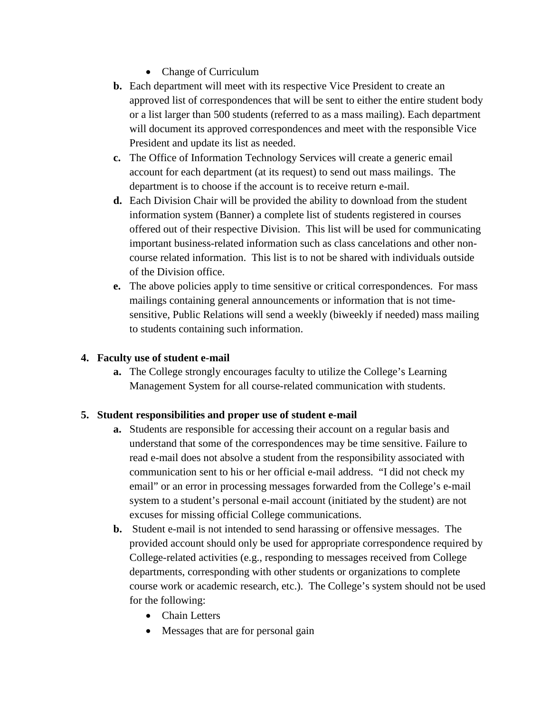- Change of Curriculum
- **b.** Each department will meet with its respective Vice President to create an approved list of correspondences that will be sent to either the entire student body or a list larger than 500 students (referred to as a mass mailing). Each department will document its approved correspondences and meet with the responsible Vice President and update its list as needed.
- **c.** The Office of Information Technology Services will create a generic email account for each department (at its request) to send out mass mailings. The department is to choose if the account is to receive return e-mail.
- **d.** Each Division Chair will be provided the ability to download from the student information system (Banner) a complete list of students registered in courses offered out of their respective Division. This list will be used for communicating important business-related information such as class cancelations and other noncourse related information. This list is to not be shared with individuals outside of the Division office.
- **e.** The above policies apply to time sensitive or critical correspondences. For mass mailings containing general announcements or information that is not timesensitive, Public Relations will send a weekly (biweekly if needed) mass mailing to students containing such information.

## **4. Faculty use of student e-mail**

**a.** The College strongly encourages faculty to utilize the College's Learning Management System for all course-related communication with students.

### **5. Student responsibilities and proper use of student e-mail**

- **a.** Students are responsible for accessing their account on a regular basis and understand that some of the correspondences may be time sensitive. Failure to read e-mail does not absolve a student from the responsibility associated with communication sent to his or her official e-mail address. "I did not check my email" or an error in processing messages forwarded from the College's e-mail system to a student's personal e-mail account (initiated by the student) are not excuses for missing official College communications.
- **b.** Student e-mail is not intended to send harassing or offensive messages. The provided account should only be used for appropriate correspondence required by College-related activities (e.g., responding to messages received from College departments, corresponding with other students or organizations to complete course work or academic research, etc.). The College's system should not be used for the following:
	- Chain Letters
	- Messages that are for personal gain